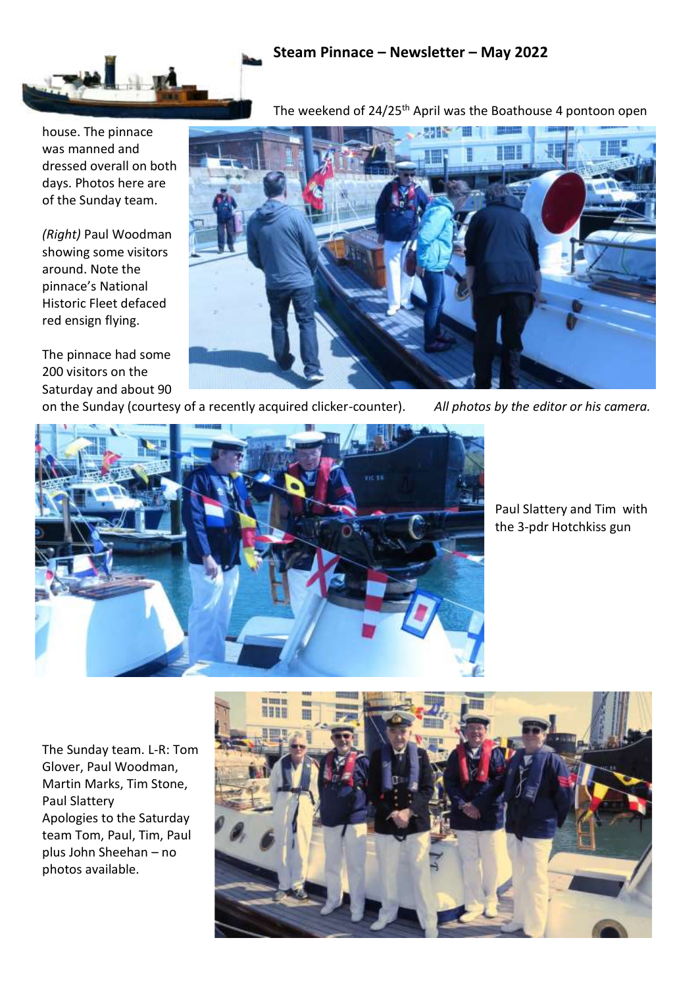## **Steam Pinnace – Newsletter – May 2022**

The weekend of 24/25<sup>th</sup> April was the Boathouse 4 pontoon open



house. The pinnace was manned and dressed overall on both days. Photos here are of the Sunday team.

*(Right)* Paul Woodman showing some visitors around. Note the pinnace's National Historic Fleet defaced red ensign flying.

The pinnace had some 200 visitors on the Saturday and about 90



on the Sunday (courtesy of a recently acquired clicker-counter). *All photos by the editor or his camera.*



Paul Slattery and Tim with the 3-pdr Hotchkiss gun

The Sunday team. L-R: Tom Glover, Paul Woodman, Martin Marks, Tim Stone, Paul Slattery Apologies to the Saturday team Tom, Paul, Tim, Paul plus John Sheehan – no photos available.

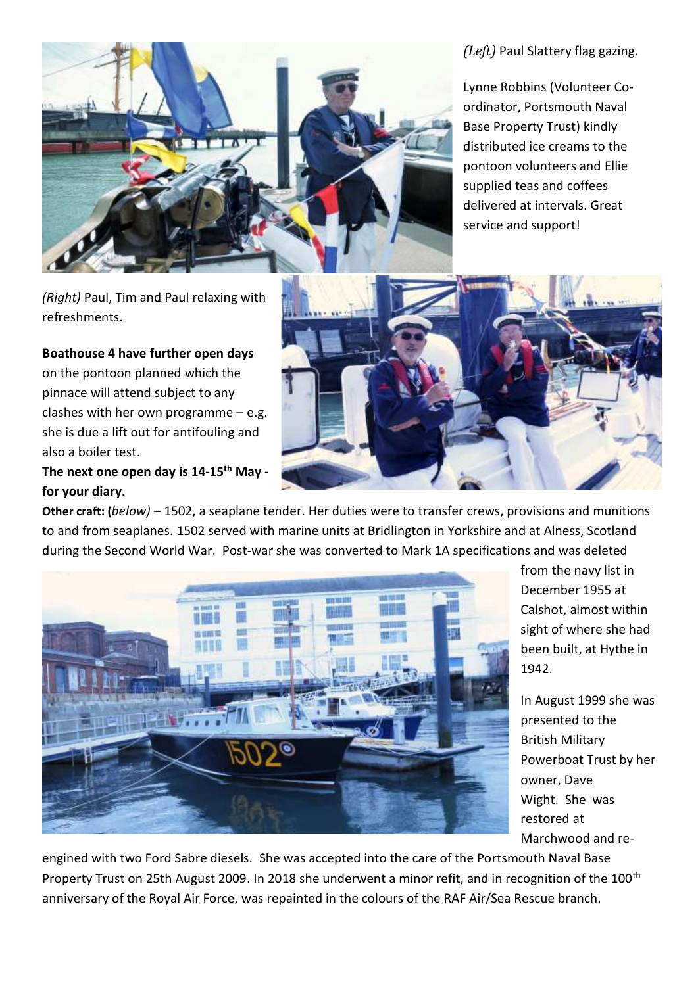*(Left)* Paul Slattery flag gazing.

Lynne Robbins (Volunteer Coordinator, Portsmouth Naval Base Property Trust) kindly distributed ice creams to the pontoon volunteers and Ellie supplied teas and coffees delivered at intervals. Great service and support!



*(Right)* Paul, Tim and Paul relaxing with refreshments.

**Boathouse 4 have further open days** on the pontoon planned which the pinnace will attend subject to any clashes with her own programme  $-$  e.g. she is due a lift out for antifouling and also a boiler test.

**The next one open day is 14-15th May for your diary.**



**Other craft: (***below)* – 1502, a seaplane tender. Her duties were to transfer crews, provisions and munitions to and from seaplanes. 1502 served with marine units at Bridlington in Yorkshire and at Alness, Scotland during the Second World War. Post-war she was converted to Mark 1A specifications and was deleted



from the navy list in December 1955 at Calshot, almost within sight of where she had been built, at Hythe in 1942.

In August 1999 she was presented to the British Military Powerboat Trust by her owner, Dave Wight. She was restored at Marchwood and re-

engined with two Ford Sabre diesels. She was accepted into the care of the Portsmouth Naval Base Property Trust on 25th August 2009. In 2018 she underwent a minor refit, and in recognition of the 100<sup>th</sup> anniversary of the Royal Air Force, was repainted in the colours of the RAF Air/Sea Rescue branch.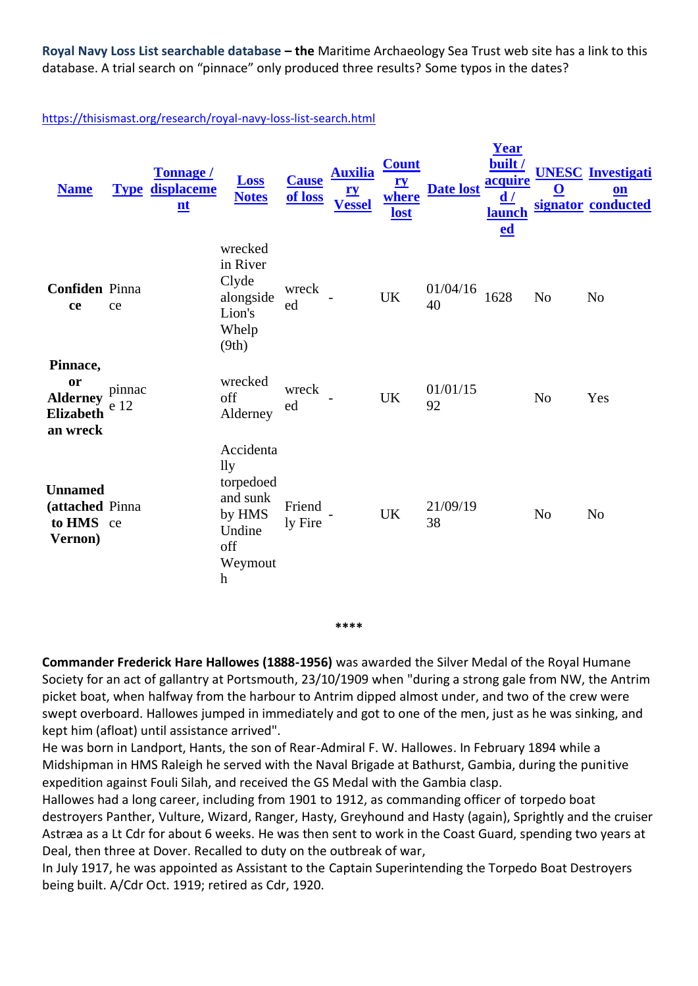**Royal Navy Loss List searchable database – the** Maritime Archaeology Sea Trust web site has a link to this database. A trial search on "pinnace" only produced three results? Some typos in the dates?

## <https://thisismast.org/research/royal-navy-loss-list-search.html>

| <b>Name</b>                                                       |                | <b>Tonnage /</b><br><b>Type displaceme</b><br>$\mathbf{nt}$ | <b>Loss</b><br><b>Notes</b>                                                                                             | <b>Cause</b><br>of loss | <b>Auxilia</b><br><u>ry</u><br><b>Vessel</b> | <b>Count</b><br><u>ry</u><br>where<br>lost | Date lost acquire | Year<br>built/<br>d/<br><b>launch</b><br>ed | <u>ଠ</u>       | <b>UNESC</b> Investigati<br>$\underline{\mathbf{on}}$<br>signator conducted |
|-------------------------------------------------------------------|----------------|-------------------------------------------------------------|-------------------------------------------------------------------------------------------------------------------------|-------------------------|----------------------------------------------|--------------------------------------------|-------------------|---------------------------------------------|----------------|-----------------------------------------------------------------------------|
| <b>Confiden</b> Pinna<br>ce                                       | ce             |                                                             | wrecked<br>in River<br>Clyde<br>alongside<br>Lion's<br>Whelp<br>(9th)                                                   | wreck<br>ed             |                                              | <b>UK</b>                                  | 01/04/16<br>40    | 1628                                        | N <sub>o</sub> | N <sub>o</sub>                                                              |
| Pinnace,<br>or<br><b>Alderney</b><br><b>Elizabeth</b><br>an wreck | pinnac<br>e 12 |                                                             | wrecked<br>off<br>Alderney                                                                                              | wreck<br>ed             |                                              | <b>UK</b>                                  | 01/01/15<br>92    |                                             | N <sub>o</sub> | Yes                                                                         |
| <b>Unnamed</b><br>(attached Pinna<br>to HMS ce<br>Vernon)         |                |                                                             | Accidenta<br>$\mathbf{ll}\mathbf{v}$<br>torpedoed<br>and sunk<br>by HMS<br>Undine<br>off<br>Weymout<br>$\boldsymbol{h}$ | Friend<br>ly Fire       |                                              | <b>UK</b>                                  | 21/09/19<br>38    |                                             | N <sub>o</sub> | N <sub>o</sub>                                                              |

**\*\*\*\***

**Commander Frederick Hare Hallowes (1888-1956)** was awarded the Silver Medal of the Royal Humane Society for an act of gallantry at Portsmouth, 23/10/1909 when "during a strong gale from NW, the Antrim picket boat, when halfway from the harbour to Antrim dipped almost under, and two of the crew were swept overboard. Hallowes jumped in immediately and got to one of the men, just as he was sinking, and kept him (afloat) until assistance arrived".

He was born in Landport, Hants, the son of Rear-Admiral [F. W. Hallowes.](http://www.dreadnoughtproject.org/tfs/index.php?title=Frederick_William_Hallowes&action=edit&redlink=1) In February 1894 while a Midshipman in HMS Raleigh he served with the Naval Brigade at Bathurst, Gambia, during the punitive expedition against Fouli Silah, and received the GS Medal with the Gambia clasp.

Hallowes had a long career, including from 1901 to 1912, as commanding officer of torpedo boat destroyers Panther, Vulture, Wizard, Ranger, Hasty, Greyhound and Hasty (again), Sprightly and the cruiser Astræa as a Lt Cdr for about 6 weeks. He was then sent to work in the Coast Guard, spending two years at Deal, then three at Dover. Recalled to duty on the outbreak of war,

In July 1917, he was appointed as Assistant to the Captain Superintending the Torpedo Boat Destroyers being built. A/Cdr Oct. 1919; retired as Cdr, 1920.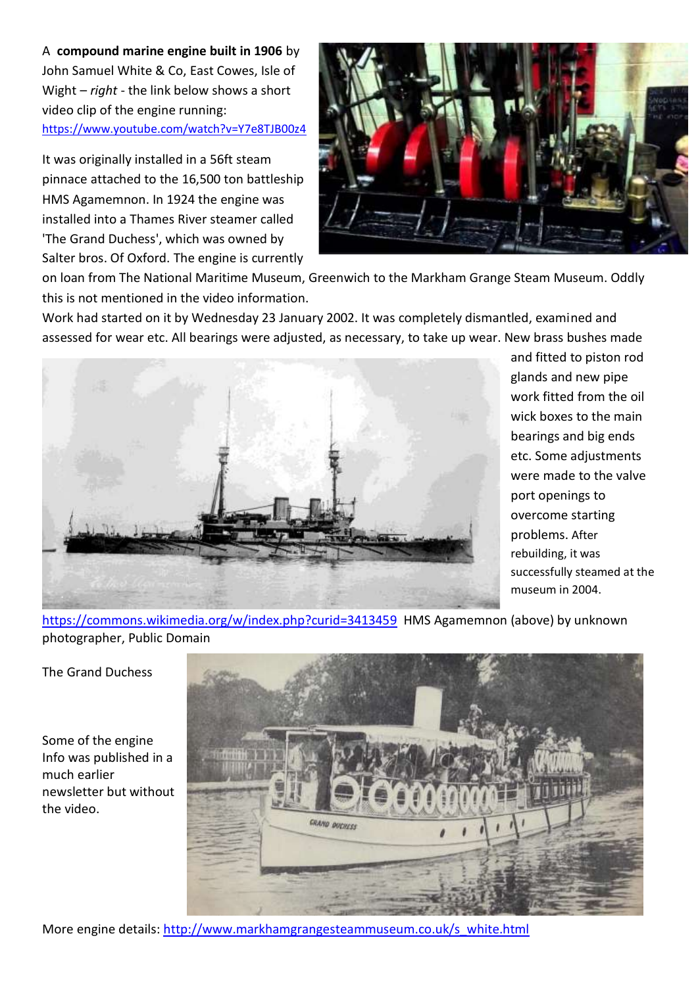A **compound marine engine built in 1906** by John Samuel White & Co, East Cowes, Isle of Wight – *right* - the link below shows a short video clip of the engine running: <https://www.youtube.com/watch?v=Y7e8TJB00z4>

It was originally installed in a 56ft steam pinnace attached to the 16,500 ton battleship HMS Agamemnon. In 1924 the engine was installed into a Thames River steamer called 'The Grand Duchess', which was owned by Salter bros. Of Oxford. The engine is currently



on loan from The National Maritime Museum, Greenwich to the Markham Grange Steam Museum. Oddly this is not mentioned in the video information.

Work had started on it by Wednesday 23 January 2002. It was completely dismantled, examined and assessed for wear etc. All bearings were adjusted, as necessary, to take up wear. New brass bushes made



and fitted to piston rod glands and new pipe work fitted from the oil wick boxes to the main bearings and big ends etc. Some adjustments were made to the valve port openings to overcome starting problems. After rebuilding, it was successfully steamed at the museum in 2004.

<https://commons.wikimedia.org/w/index.php?curid=3413459>HMS Agamemnon (above) by unknown photographer, Public Domain

The Grand Duchess

Some of the engine Info was published in a much earlier newsletter but without the video.



More engine details: [http://www.markhamgrangesteammuseum.co.uk/s\\_white.html](http://www.markhamgrangesteammuseum.co.uk/s_white.html)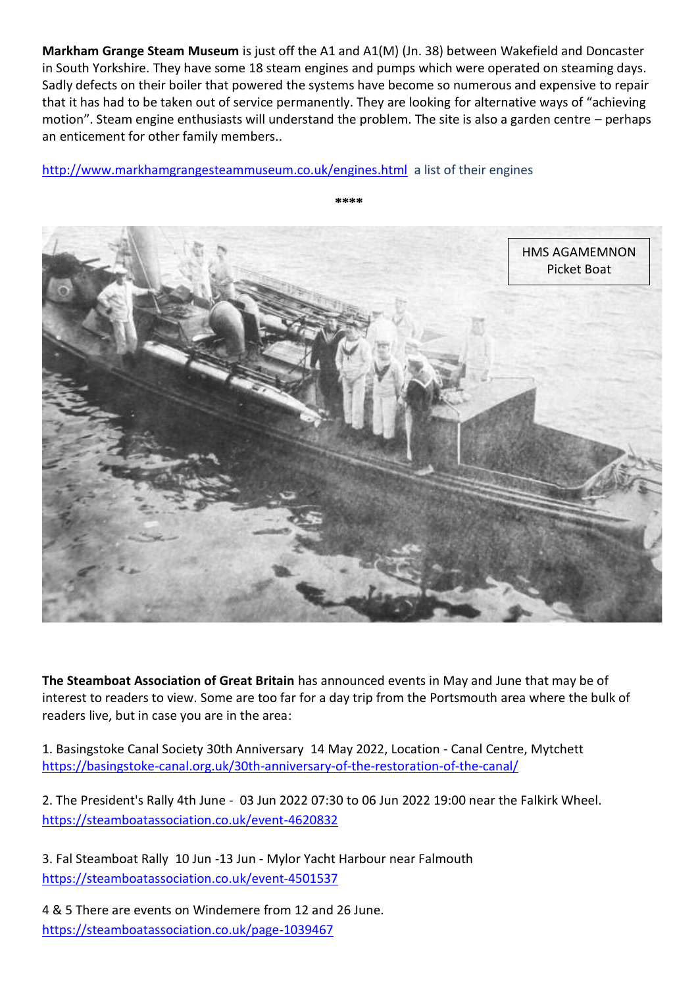**Markham Grange Steam Museum** is just off the A1 and A1(M) (Jn. 38) between Wakefield and Doncaster in South Yorkshire. They have some 18 steam engines and pumps which were operated on steaming days. Sadly defects on their boiler that powered the systems have become so numerous and expensive to repair that it has had to be taken out of service permanently. They are looking for alternative ways of "achieving motion". Steam engine enthusiasts will understand the problem. The site is also a garden centre – perhaps an enticement for other family members..

<http://www.markhamgrangesteammuseum.co.uk/engines.html>a list of their engines



**The Steamboat Association of Great Britain** has announced events in May and June that may be of interest to readers to view. Some are too far for a day trip from the Portsmouth area where the bulk of readers live, but in case you are in the area:

1. [Basingstoke Canal Society 30th Anniversary](https://steamboatassociation.co.uk/event-4706766) 14 May 2022, Location - Canal Centre, Mytchett <https://basingstoke-canal.org.uk/30th-anniversary-of-the-restoration-of-the-canal/>

2. [The President's Rally 4th June](https://steamboatassociation.co.uk/event-4620832) - 03 Jun 2022 07:30 to 06 Jun 2022 19:00 near the Falkirk Wheel. <https://steamboatassociation.co.uk/event-4620832>

3. [Fal Steamboat Rally](https://steamboatassociation.co.uk/event-4501537) 10 Jun -13 Jun - Mylor Yacht Harbour near Falmouth <https://steamboatassociation.co.uk/event-4501537>

4 & 5 There are events on Windemere from 12 and 26 June. <https://steamboatassociation.co.uk/page-1039467>